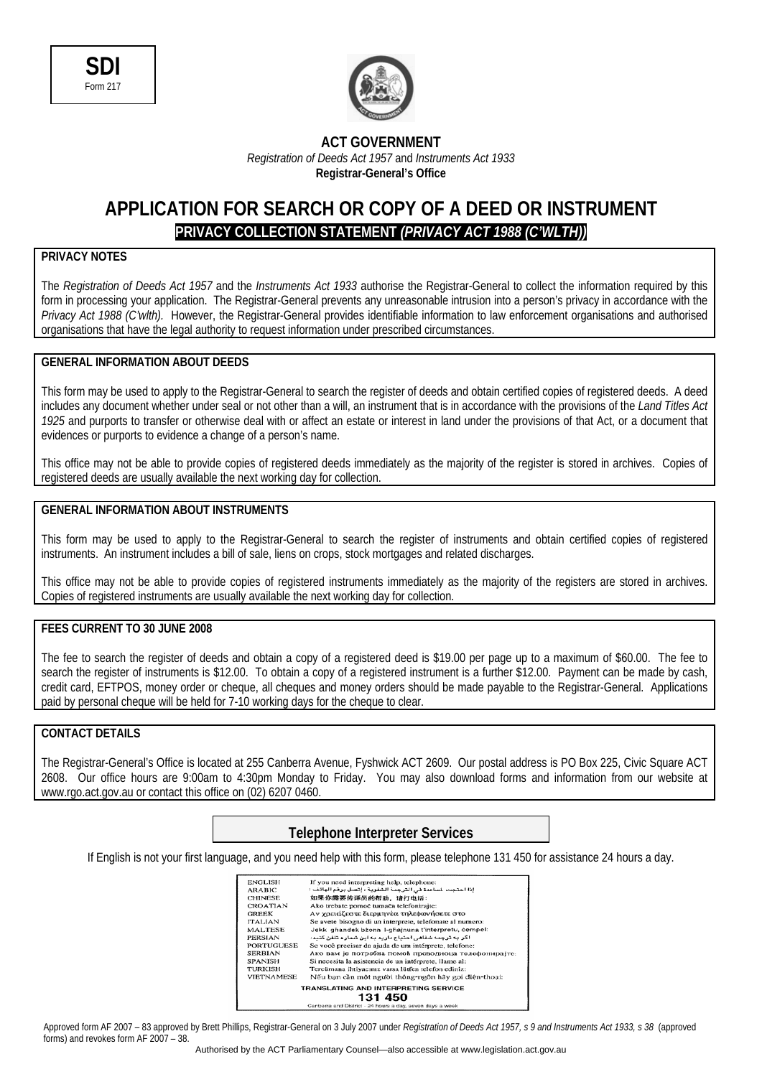



### **ACT GOVERNMENT**  *Registration of Deeds Act 1957* and *Instruments Act 1933*  **Registrar-General's Office**

# **APPLICATION FOR SEARCH OR COPY OF A DEED OR INSTRUMENT PRIVACY COLLECTION STATEMENT** *(PRIVACY ACT 1988 (C'WLTH))*

## **PRIVACY NOTES**

The *Registration of Deeds Act 1957* and the *Instruments Act 1933* authorise the Registrar-General to collect the information required by this form in processing your application. The Registrar-General prevents any unreasonable intrusion into a person's privacy in accordance with the *Privacy Act 1988 (C'wlth).* However, the Registrar-General provides identifiable information to law enforcement organisations and authorised organisations that have the legal authority to request information under prescribed circumstances.

#### **GENERAL INFORMATION ABOUT DEEDS**

This form may be used to apply to the Registrar-General to search the register of deeds and obtain certified copies of registered deeds. A deed includes any document whether under seal or not other than a will, an instrument that is in accordance with the provisions of the *Land Titles Act 1925* and purports to transfer or otherwise deal with or affect an estate or interest in land under the provisions of that Act, or a document that evidences or purports to evidence a change of a person's name.

This office may not be able to provide copies of registered deeds immediately as the majority of the register is stored in archives. Copies of registered deeds are usually available the next working day for collection.

### **GENERAL INFORMATION ABOUT INSTRUMENTS**

This form may be used to apply to the Registrar-General to search the register of instruments and obtain certified copies of registered instruments. An instrument includes a bill of sale, liens on crops, stock mortgages and related discharges.

This office may not be able to provide copies of registered instruments immediately as the majority of the registers are stored in archives. Copies of registered instruments are usually available the next working day for collection.

## **FEES CURRENT TO 30 JUNE 2008**

The fee to search the register of deeds and obtain a copy of a registered deed is \$19.00 per page up to a maximum of \$60.00. The fee to search the register of instruments is \$12.00. To obtain a copy of a registered instrument is a further \$12.00. Payment can be made by cash, credit card, EFTPOS, money order or cheque, all cheques and money orders should be made payable to the Registrar-General. Applications paid by personal cheque will be held for 7-10 working days for the cheque to clear.

## **CONTACT DETAILS**

The Registrar-General's Office is located at 255 Canberra Avenue, Fyshwick ACT 2609. Our postal address is PO Box 225, Civic Square ACT 2608. Our office hours are 9:00am to 4:30pm Monday to Friday. You may also download forms and information from our website at www.rgo.act.gov.au or contact this office on (02) 6207 0460.

## **Telephone Interpreter Services**

If English is not your first language, and you need help with this form, please telephone 131 450 for assistance 24 hours a day.

| <b>ENGLISH</b>                              | If you need interpreting help, telephone:                |  |  |  |
|---------------------------------------------|----------------------------------------------------------|--|--|--|
| <b>ARABIC</b>                               | إذا احتجت لساعدة في الترجمة الشغوية ، إتصل برقم الهاتف : |  |  |  |
| <b>CHINESE</b>                              | 如果你需要传译员的帮助, 请打电话:                                       |  |  |  |
| <b>CROATIAN</b>                             | Ako trebate pomoć tumača telefonirajte:                  |  |  |  |
| <b>GREEK</b>                                | Αν χρειάζεστε διερμηνέα τηλεφωνήσετε στο                 |  |  |  |
| <b>ITALIAN</b>                              | Se avete bisogno di un interprete, telefonate al numero: |  |  |  |
| <b>MALTESE</b>                              | Jekk ghandek bżonn I-ghajnuna t'interpretu, cempel:      |  |  |  |
| PERSIAN                                     | اگر به ترجمه شفاهی احتیاج دارید به این شمار د تلفن کنید: |  |  |  |
| <b>PORTUGUESE</b>                           | Se você precisar da ajuda de um intérprete, telefone:    |  |  |  |
| <b>SERBIAN</b>                              | Ако вам је потребна помоћ преводиоца телефонира те:      |  |  |  |
| <b>SPANISH</b>                              | Si necesita la asistencia de un intérprete, llame al:    |  |  |  |
| <b>TURKISH</b>                              | Tercümana ihtiyacınız varsa lütfen telefon ediniz:       |  |  |  |
| <b>VIETNAMESE</b>                           | Nếu ban cần một người thông-ngôn hãy gọi điện-thoại:     |  |  |  |
| <b>TRANSLATING AND INTERPRETING SERVICE</b> |                                                          |  |  |  |
|                                             | 131 450                                                  |  |  |  |
|                                             | Canharra and District - 24 hours a day seven days a week |  |  |  |

Approved form AF 2007 – 83 approved by Brett Phillips, Registrar-General on 3 July 2007 under *Registration of Deeds Act 1957, s 9 and Instruments Act 1933, s 38* (approved forms) and revokes form AF 2007 – 38.

Authorised by the ACT Parliamentary Counsel—also accessible at www.legislation.act.gov.au